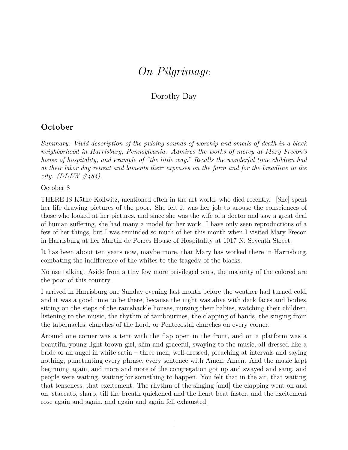## *On Pilgrimage*

## Dorothy Day

## **October**

*Summary: Vivid description of the pulsing sounds of worship and smells of death in a black neighborhood in Harrisburg, Pennsylvania. Admires the works of mercy at Mary Frecon's house of hospitality, and example of "the little way." Recalls the wonderful time children had at their labor day retreat and laments their expenses on the farm and for the breadline in the city. (DDLW #484).*

October 8

THERE IS Käthe Kollwitz, mentioned often in the art world, who died recently. [She] spent her life drawing pictures of the poor. She felt it was her job to arouse the consciences of those who looked at her pictures, and since she was the wife of a doctor and saw a great deal of human suffering, she had many a model for her work. I have only seen reproductions of a few of her things, but I was reminded so much of her this month when I visited Mary Frecon in Harrisburg at her Martin de Porres House of Hospitality at 1017 N. Seventh Street.

It has been about ten years now, maybe more, that Mary has worked there in Harrisburg, combating the indifference of the whites to the tragedy of the blacks.

No use talking. Aside from a tiny few more privileged ones, the majority of the colored are the poor of this country.

I arrived in Harrisburg one Sunday evening last month before the weather had turned cold, and it was a good time to be there, because the night was alive with dark faces and bodies, sitting on the steps of the ramshackle houses, nursing their babies, watching their children, listening to the music, the rhythm of tambourines, the clapping of hands, the singing from the tabernacles, churches of the Lord, or Pentecostal churches on every corner.

Around one corner was a tent with the flap open in the front, and on a platform was a beautiful young light-brown girl, slim and graceful, swaying to the music, all dressed like a bride or an angel in white satin – three men, well-dressed, preaching at intervals and saying nothing, punctuating every phrase, every sentence with Amen, Amen. And the music kept beginning again, and more and more of the congregation got up and swayed and sang, and people were waiting, waiting for something to happen. You felt that in the air, that waiting, that tenseness, that excitement. The rhythm of the singing [and] the clapping went on and on, staccato, sharp, till the breath quickened and the heart beat faster, and the excitement rose again and again, and again and again fell exhausted.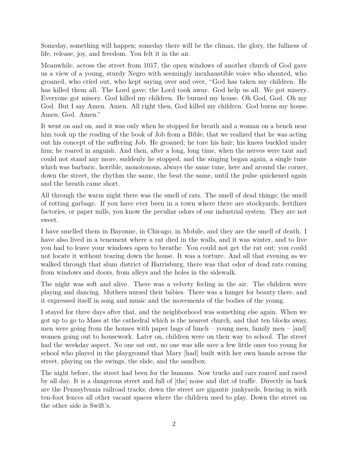Someday, something will happen; someday there will be the climax, the glory, the fullness of life, release, joy, and freedom. You felt it in the air.

Meanwhile, across the street from 1017, the open windows of another church of God gave us a view of a young, sturdy Negro with seemingly inexhaustible voice who shouted, who groaned, who cried out, who kept saying over and over, "God has taken my children. He has killed them all. The Lord gave; the Lord took away. God help us all. We got misery. Everyone got misery. God killed my children. He burned my house. Oh God, God. Oh my God. But I say Amen. Amen. All right then, God killed my children. God burns my house. Amen, God. Amen."

It went on and on, and it was only when he stopped for breath and a woman on a bench near him took up the reading of the book of Job from a Bible, that we realized that he was acting out his concept of the suffering Job. He groaned; he tore his hair; his knees buckled under him; he roared in anguish. And then, after a long, long time, when the nerves were taut and could not stand any more, suddenly he stopped, and the singing began again, a single tune which was barbaric, horrible, monotonous, always the same tune, here and around the corner, down the street, the rhythm the same, the beat the same, until the pulse quickened again and the breath came short.

All through the warm night there was the smell of rats. The smell of dead things; the smell of rotting garbage. If you have ever been in a town where there are stockyards, fertilizer factories, or paper mills, you know the peculiar odors of our industrial system. They are not sweet.

I have smelled them in Bayonne, in Chicago, in Mobile, and they are the smell of death. I have also lived in a tenement where a rat died in the walls, and it was winter, and to live you had to leave your windows open to breathe. You could not get the rat out; you could not locate it without tearing down the house. It was a torture. And all that evening as we walked through that slum district of Harrisburg, there was that odor of dead rats coming from windows and doors, from alleys and the holes in the sidewalk.

The night was soft and alive. There was a velvety feeling in the air. The children were playing and dancing. Mothers nursed their babies. There was a hunger for beauty there, and it expressed itself in song and music and the movements of the bodies of the young.

I stayed for three days after that, and the neighborhood was something else again. When we got up to go to Mass at the cathedral which is the nearest church, and that ten blocks away, men were going from the houses with paper bags of lunch – young men, family men – [and] women going out to housework. Later on, children were on their way to school. The street had the weekday aspect. No one sat out, no one was idle save a few little ones too young for school who played in the playground that Mary [had] built with her own hands across the street, playing on the swings, the slide, and the sandbox.

The night before, the street had been for the humans. Now trucks and cars roared and raced by all day. It is a dangerous street and full of [the] noise and dirt of traffic. Directly in back are the Pennsylvania railroad tracks; down the street are gigantic junkyards, fencing in with ten-foot fences all other vacant spaces where the children used to play. Down the street on the other side is Swift's.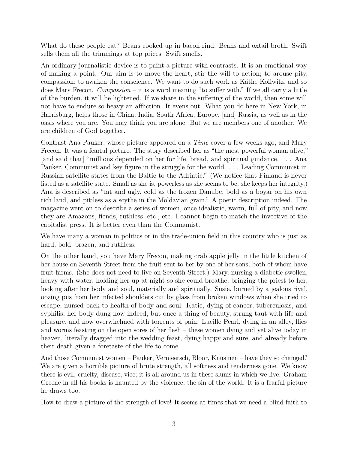What do these people eat? Beans cooked up in bacon rind. Beans and oxtail broth. Swift sells them all the trimmings at top prices. Swift smells.

An ordinary journalistic device is to paint a picture with contrasts. It is an emotional way of making a point. Our aim is to move the heart, stir the will to action; to arouse pity, compassion; to awaken the conscience. We want to do such work as Käthe Kollwitz, and so does Mary Frecon. *Compassion* – it is a word meaning "to suffer with." If we all carry a little of the burden, it will be lightened. If we share in the suffering of the world, then some will not have to endure so heavy an affliction. It evens out. What you do here in New York, in Harrisburg, helps those in China, India, South Africa, Europe, [and] Russia, as well as in the oasis where you are. You may think you are alone. But we are members one of another. We are children of God together.

Contrast Ana Pauker, whose picture appeared on a *Time* cover a few weeks ago, and Mary Frecon. It was a fearful picture. The story described her as "the most powerful woman alive," [and said that] "millions depended on her for life, bread, and spiritual guidance. . . . Ana Pauker, Communist and key figure in the struggle for the world. . . . Leading Communist in Russian satellite states from the Baltic to the Adriatic." (We notice that Finland is never listed as a satellite state. Small as she is, powerless as she seems to be, she keeps her integrity.) Ana is described as "fat and ugly, cold as the frozen Danube, bold as a boyar on his own rich land, and pitiless as a scythe in the Moldavian grain." A poetic description indeed. The magazine went on to describe a series of women, once idealistic, warm, full of pity, and now they are Amazons, fiends, ruthless, etc., etc. I cannot begin to match the invective of the capitalist press. It is better even than the Communist.

We have many a woman in politics or in the trade-union field in this country who is just as hard, bold, brazen, and ruthless.

On the other hand, you have Mary Frecon, making crab apple jelly in the little kitchen of her house on Seventh Street from the fruit sent to her by one of her sons, both of whom have fruit farms. (She does not need to live on Seventh Street.) Mary, nursing a diabetic swollen, heavy with water, holding her up at night so she could breathe, bringing the priest to her, looking after her body and soul, materially and spiritually. Susie, burned by a jealous rival, oozing pus from her infected shoulders cut by glass from broken windows when she tried to escape, nursed back to health of body and soul. Katie, dying of cancer, tuberculosis, and syphilis, her body dung now indeed, but once a thing of beauty, strung taut with life and pleasure, and now overwhelmed with torrents of pain. Lucille Pearl, dying in an alley, flies and worms feasting on the open sores of her flesh – these women dying and yet alive today in heaven, literally dragged into the wedding feast, dying happy and sure, and already before their death given a foretaste of the life to come.

And those Communist women – Pauker, Vermeersch, Bloor, Knusinen – have they so changed? We are given a horrible picture of brute strength, all softness and tenderness gone. We know there is evil, cruelty, disease, vice; it is all around us in these slums in which we live. Graham Greene in all his books is haunted by the violence, the sin of the world. It is a fearful picture he draws too.

How to draw a picture of the strength of love! It seems at times that we need a blind faith to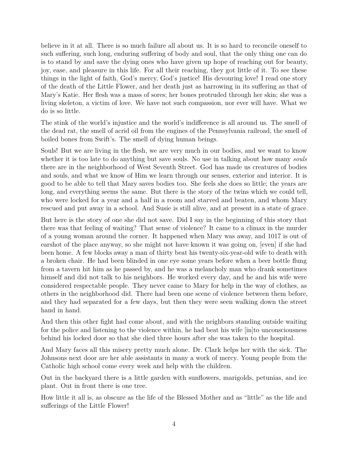believe in it at all. There is so much failure all about us. It is so hard to reconcile oneself to such suffering, such long, enduring suffering of body and soul, that the only thing one can do is to stand by and save the dying ones who have given up hope of reaching out for beauty, joy, ease, and pleasure in this life. For all their reaching, they got little of it. To see these things in the light of faith, God's mercy, God's justice! His devouring love! I read one story of the death of the Little Flower, and her death just as harrowing in its suffering as that of Mary's Katie. Her flesh was a mass of sores; her bones protruded through her skin; she was a living skeleton, a victim of love. We have not such compassion, nor ever will have. What we do is so little.

The stink of the world's injustice and the world's indifference is all around us. The smell of the dead rat, the smell of acrid oil from the engines of the Pennsylvania railroad, the smell of boiled bones from Swift's. The smell of dying human beings.

Souls! But we are living in the flesh, we are very much in our bodies, and we want to know whether it is too late to do anything but save souls. No use in talking about how many *souls* there are in the neighborhood of West Seventh Street. God has made us creatures of bodies and souls, and what we know of Him we learn through our senses, exterior and interior. It is good to be able to tell that Mary saves bodies too. She feels she does so little; the years are long, and everything seems the same. But there is the story of the twins which we could tell, who were locked for a year and a half in a room and starved and beaten, and whom Mary rescued and put away in a school. And Susie is still alive, and at present in a state of grace.

But here is the story of one she did not save. Did I say in the beginning of this story that there was that feeling of waiting? That sense of violence? It came to a climax in the murder of a young woman around the corner. It happened when Mary was away, and 1017 is out of earshot of the place anyway, so she might not have known it was going on, [even] if she had been home. A few blocks away a man of thirty beat his twenty-six-year-old wife to death with a broken chair. He had been blinded in one eye some years before when a beer bottle flung from a tavern hit him as he passed by, and he was a melancholy man who drank sometimes himself and did not talk to his neighbors. He worked every day, and he and his wife were considered respectable people. They never came to Mary for help in the way of clothes, as others in the neighborhood did. There had been one scene of violence between them before, and they had separated for a few days, but then they were seen walking down the street hand in hand.

And then this other fight had come about, and with the neighbors standing outside waiting for the police and listening to the violence within, he had beat his wife [in]to unconsciousness behind his locked door so that she died three hours after she was taken to the hospital.

And Mary faces all this misery pretty much alone. Dr. Clark helps her with the sick. The Johnsons next door are her able assistants in many a work of mercy. Young people from the Catholic high school come every week and help with the children.

Out in the backyard there is a little garden with sunflowers, marigolds, petunias, and ice plant. Out in front there is one tree.

How little it all is, as obscure as the life of the Blessed Mother and as "little" as the life and sufferings of the Little Flower!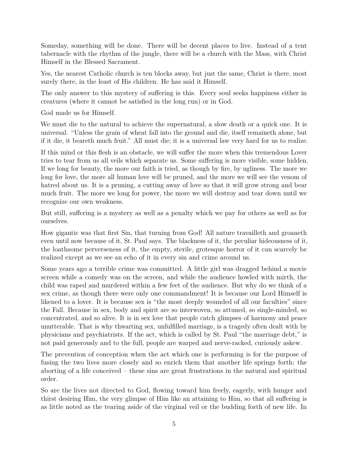Someday, something will be done. There will be decent places to live. Instead of a tent tabernacle with the rhythm of the jungle, there will be a church with the Mass, with Christ Himself in the Blessed Sacrament.

Yes, the nearest Catholic church is ten blocks away, but just the same, Christ is there, most surely there, in the least of His children. He has said it Himself.

The only answer to this mystery of suffering is this. Every soul seeks happiness either in creatures (where it cannot be satisfied in the long run) or in God.

God made us for Himself.

We must die to the natural to achieve the supernatural, a slow death or a quick one. It is universal. "Unless the grain of wheat fall into the ground and die, itself remaineth alone, but if it die, it beareth much fruit." All must die; it is a universal law very hard for us to realize.

If this mind or this flesh is an obstacle, we will suffer the more when this tremendous Lover tries to tear from us all veils which separate us. Some suffering is more visible, some hidden. If we long for beauty, the more our faith is tried, as though by fire, by ugliness. The more we long for love, the more all human love will be pruned, and the more we will see the venom of hatred about us. It is a pruning, a cutting away of love so that it will grow strong and bear much fruit. The more we long for power, the more we will destroy and tear down until we recognize our own weakness.

But still, suffering is a mystery as well as a penalty which we pay for others as well as for ourselves.

How gigantic was that first Sin, that turning from God! All nature travailleth and groaneth even until now because of it, St. Paul says. The blackness of it, the peculiar hideousness of it, the loathsome perverseness of it, the empty, sterile, grotesque horror of it can scarcely be realized except as we see an echo of it in every sin and crime around us.

Some years ago a terrible crime was committed. A little girl was dragged behind a movie screen while a comedy was on the screen, and while the audience howled with mirth, the child was raped and murdered within a few feet of the audience. But why do we think of a sex crime, as though there were only one commandment! It is because our Lord Himself is likened to a lover. It is because sex is "the most deeply wounded of all our faculties" since the Fall. Because in sex, body and spirit are so interwoven, so attuned, so single-minded, so concentrated, and so alive. It is in sex love that people catch glimpses of harmony and peace unutterable. That is why thwarting sex, unfulfilled marriage, is a tragedy often dealt with by physicians and psychiatrists. If the act, which is called by St. Paul "the marriage debt," is not paid generously and to the full, people are warped and nerve-racked, curiously askew.

The prevention of conception when the act which one is performing is for the purpose of fusing the two lives more closely and so enrich them that another life springs forth; the aborting of a life conceived – these sins are great frustrations in the natural and spiritual order.

So are the lives not directed to God, flowing toward him freely, eagerly, with hunger and thirst desiring Him, the very glimpse of Him like an attaining to Him, so that all suffering is as little noted as the tearing aside of the virginal veil or the budding forth of new life. In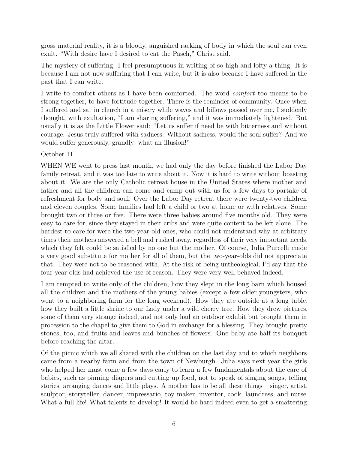gross material reality, it is a bloody, anguished racking of body in which the soul can even exult. "With desire have I desired to eat the Pasch," Christ said.

The mystery of suffering. I feel presumptuous in writing of so high and lofty a thing. It is because I am not now suffering that I can write, but it is also because I have suffered in the past that I can write.

I write to comfort others as I have been comforted. The word *comfort* too means to be strong together, to have fortitude together. There is the reminder of community. Once when I suffered and sat in church in a misery while waves and billows passed over me, I suddenly thought, with exultation, "I am sharing suffering," and it was immediately lightened. But usually it is as the Little Flower said: "Let us suffer if need be with bitterness and without courage. Jesus truly suffered with sadness. Without sadness, would the soul suffer? And we would suffer generously, grandly; what an illusion!"

October 11

WHEN WE went to press last month, we had only the day before finished the Labor Day family retreat, and it was too late to write about it. Now it is hard to write without boasting about it. We are the only Catholic retreat house in the United States where mother and father and all the children can come and camp out with us for a few days to partake of refreshment for body and soul. Over the Labor Day retreat there were twenty-two children and eleven couples. Some families had left a child or two at home or with relatives. Some brought two or three or five. There were three babies around five months old. They were easy to care for, since they stayed in their cribs and were quite content to be left alone. The hardest to care for were the two-year-old ones, who could not understand why at arbitrary times their mothers answered a bell and rushed away, regardless of their very important needs, which they felt could be satisfied by no one but the mother. Of course, Julia Purcelli made a very good substitute for mother for all of them, but the two-year-olds did not appreciate that. They were not to be reasoned with. At the risk of being untheological, I'd say that the four-year-olds had achieved the use of reason. They were very well-behaved indeed.

I am tempted to write only of the children, how they slept in the long barn which housed all the children and the mothers of the young babies (except a few older youngsters, who went to a neighboring farm for the long weekend). How they ate outside at a long table; how they built a little shrine to our Lady under a wild cherry tree. How they drew pictures, some of them very strange indeed, and not only had an outdoor exhibit but brought them in procession to the chapel to give them to God in exchange for a blessing. They brought pretty stones, too, and fruits and leaves and bunches of flowers. One baby ate half its bouquet before reaching the altar.

Of the picnic which we all shared with the children on the last day and to which neighbors came from a nearby farm and from the town of Newburgh. Julia says next year the girls who helped her must come a few days early to learn a few fundamentals about the care of babies, such as pinning diapers and cutting up food, not to speak of singing songs, telling stories, arranging dances and little plays. A mother has to be all these things – singer, artist, sculptor, storyteller, dancer, impressario, toy maker, inventor, cook, laundress, and nurse. What a full life! What talents to develop! It would be hard indeed even to get a smattering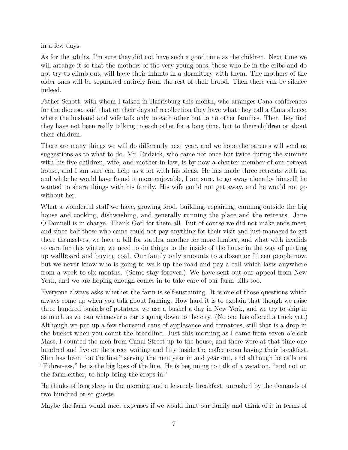in a few days.

As for the adults, I'm sure they did not have such a good time as the children. Next time we will arrange it so that the mothers of the very young ones, those who lie in the cribs and do not try to climb out, will have their infants in a dormitory with them. The mothers of the older ones will be separated entirely from the rest of their brood. Then there can be silence indeed.

Father Schott, with whom I talked in Harrisburg this month, who arranges Cana conferences for the diocese, said that on their days of recollection they have what they call a Cana silence, where the husband and wife talk only to each other but to no other families. Then they find they have not been really talking to each other for a long time, but to their children or about their children.

There are many things we will do differently next year, and we hope the parents will send us suggestions as to what to do. Mr. Rudzick, who came not once but twice during the summer with his five children, wife, and mother-in-law, is by now a charter member of our retreat house, and I am sure can help us a lot with his ideas. He has made three retreats with us, and while he would have found it more enjoyable, I am sure, to go away alone by himself, he wanted to share things with his family. His wife could not get away, and he would not go without her.

What a wonderful staff we have, growing food, building, repairing, canning outside the big house and cooking, dishwashing, and generally running the place and the retreats. Jane O'Donnell is in charge. Thank God for them all. But of course we did not make ends meet, and since half those who came could not pay anything for their visit and just managed to get there themselves, we have a bill for staples, another for more lumber, and what with invalids to care for this winter, we need to do things to the inside of the house in the way of putting up wallboard and buying coal. Our family only amounts to a dozen or fifteen people now, but we never know who is going to walk up the road and pay a call which lasts anywhere from a week to six months. (Some stay forever.) We have sent out our appeal from New York, and we are hoping enough comes in to take care of our farm bills too.

Everyone always asks whether the farm is self-sustaining. It is one of those questions which always come up when you talk about farming. How hard it is to explain that though we raise three hundred bushels of potatoes, we use a bushel a day in New York, and we try to ship in as much as we can whenever a car is going down to the city. (No one has offered a truck yet.) Although we put up a few thousand cans of applesauce and tomatoes, still that is a drop in the bucket when you count the breadline. Just this morning as I came from seven o'clock Mass, I counted the men from Canal Street up to the house, and there were at that time one hundred and five on the street waiting and fifty inside the coffee room having their breakfast. Slim has been "on the line," serving the men year in and year out, and although he calls me "Führer-ess," he is the big boss of the line. He is beginning to talk of a vacation, "and not on the farm either, to help bring the crops in."

He thinks of long sleep in the morning and a leisurely breakfast, unrushed by the demands of two hundred or so guests.

Maybe the farm would meet expenses if we would limit our family and think of it in terms of